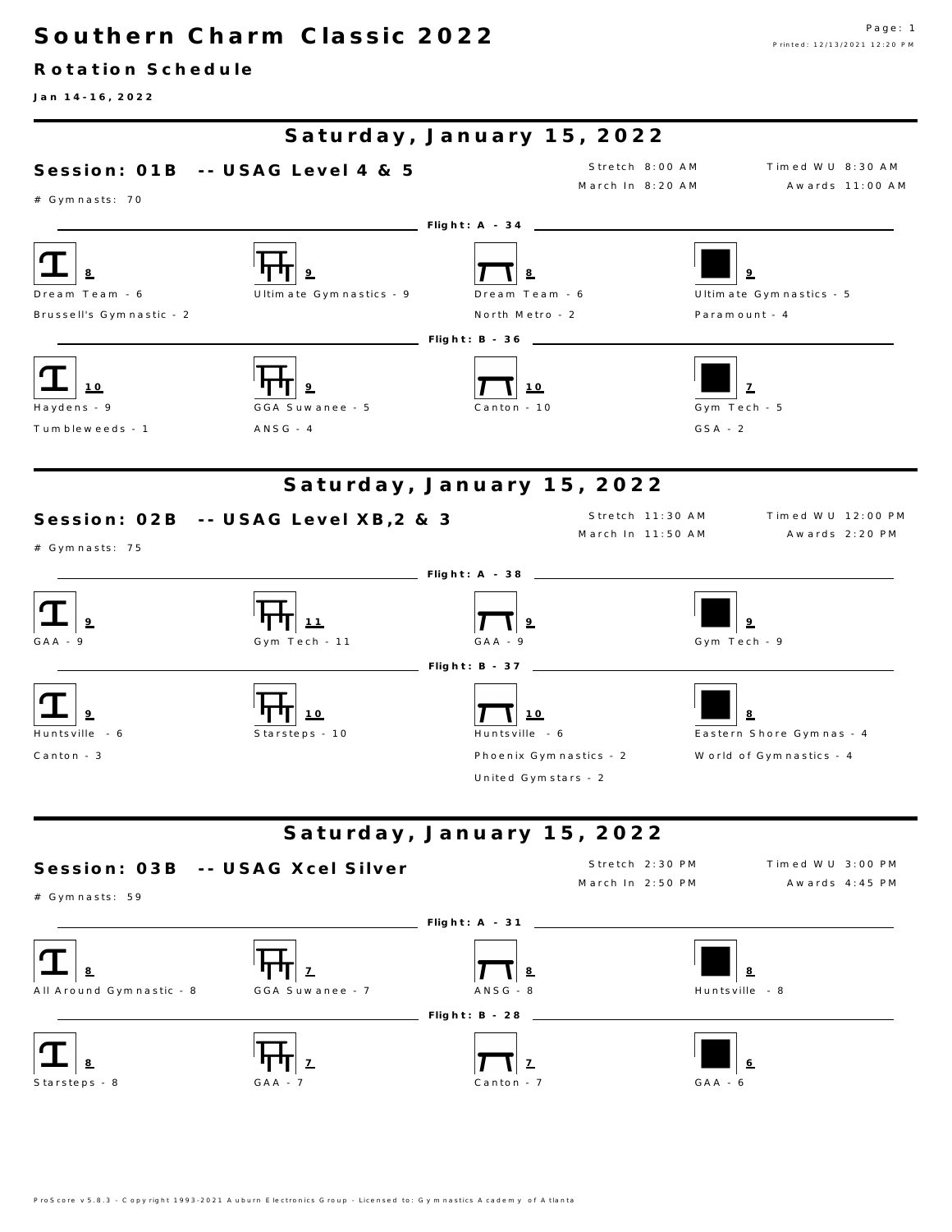## Southern Charm Classic 2022

Rotation Schedule

Jan 14-16, 2022

| Saturday, January 15, 2022                 |                                      |                                                                        |                                     |                                                           |  |  |  |  |
|--------------------------------------------|--------------------------------------|------------------------------------------------------------------------|-------------------------------------|-----------------------------------------------------------|--|--|--|--|
| # Gym nasts: 70                            | Session: 01B -- USAG Level 4 & 5     |                                                                        | Stretch 8:00 AM<br>March In 8:20 AM | Timed WU 8:30 AM<br>Awards 11:00 AM                       |  |  |  |  |
| Dream Team - 6<br>Brussell's Gymnastic - 2 | Ultim a te Gym nastics - 9           | Dream Team - 6<br>North Metro - 2                                      | Paramount - 4                       | Ultim a te Gym nastics - 5                                |  |  |  |  |
| 10<br>Haydens - 9<br>Tum blew eeds - 1     | GGA Suwanee - 5<br>ANS G - 4         | 10<br>$C$ anton - 10                                                   | Gym Tech - 5<br>$GSA - 2$           | $\mathbb{Z}$                                              |  |  |  |  |
| Saturday, January 15, 2022                 |                                      |                                                                        |                                     |                                                           |  |  |  |  |
| # Gym nasts: 75                            | Session: 02B -- USAG Level XB, 2 & 3 |                                                                        | March In 11:50 AM                   | Stretch 11:30 AM Timed WU 12:00 PM<br>Awards 2:20 PM      |  |  |  |  |
| $GAA - 9$                                  | 11<br>Gym Tech - 11                  | $GAA - 9$<br>Flight: B - 37                                            | Flight: A - 38<br>Gym Tech - 9      | $\overline{9}$                                            |  |  |  |  |
| Huntsville - 6<br>$C$ anton - 3            | 10<br>Starsteps - 10                 | 10<br>Huntsville - 6<br>Phoenix Gymnastics - 2<br>United Gym stars - 2 |                                     | 8<br>Eastern Shore Gymnas - 4<br>W orld of Gymnastics - 4 |  |  |  |  |
| Saturday, January 15, 2022                 |                                      |                                                                        |                                     |                                                           |  |  |  |  |
| # Gym nasts: 59                            | Session: 03B -- USAG Xcel Silver     |                                                                        | Stretch 2:30 PM<br>March In 2:50 PM | Tim ed W U 3:00 PM<br>Awards 4:45 PM                      |  |  |  |  |
| All Around Gymnastic - 8                   | GGA Suwanee - 7                      | $Flig ht: A - 31$<br>$ANSG - 8$                                        | Huntsville - 8                      |                                                           |  |  |  |  |
| Starsteps - 8                              | GAA - 7                              | Flight: B - 28<br>Canton - 7                                           | $G A A - 6$                         |                                                           |  |  |  |  |

.<br>ProScore v 5.8.3 - Copyright 1993-2021 Auburn Electronics Group - Licensed to: Gymnastics Academy of Atlanta